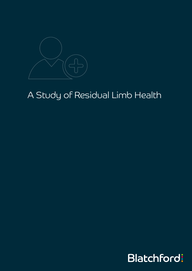

# A Study of Residual Limb Health

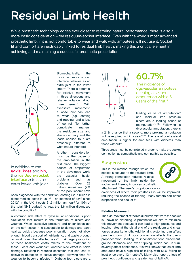# Residual Limb Health

While prosthetic technology edges ever closer to restoring natural performance, there is also a more basic consideration – the residuum-socket interface. Even with the world's most advanced prosthetic limb, if it is not comfortable to wear and walk with, amputees will not use it. Socket fit and comfort are inextricably linked to residual limb health, making this a critical element in achieving and maintaining a successful prosthetic prescription.



In addition to the ankle, knee and hip, the residuum-socket interface acts as an extra lower limb joint

Biomechanically, the r e s i d u u m - s o c k e t interface behaves as an extra joint in the lower limb1–3. There is potential for relative movement in three directions and relative rotation about three axes<sup>1,2</sup>. With excessive movement, a loose joint can lead to wear (e.g. chafing and rubbing) and a loss of control. To further complicate matters, the residuum size and shape can vary and the loads applied to it are drastically different to what nature intended.

Another consideration must be the cause of the amputation in the first place. The biggest causes of amputation in the developed world<br>are vascular health are vascular problems, such as diabetes<sup>4</sup>. Over 23 million Americans (7% of the population)<sup>5</sup> have

been diagnosed with the condition, costing \$237 billion in direct medical costs in  $2017<sup>6</sup>$  – an increase of 35% since 20127 . In the UK, it costs £1.5 million an hour<sup>8</sup> (or 10% of the total NHS budget) to treat the 3.8 million diagnosed with the condition<sup>9</sup>.

A common side effect of dysvascular conditions is poor circulation that results in the formation of ulcers and wounds. When excessive pressure and shear loads act on the soft tissue, it is susceptible to damage and can't heal as quickly because poor circulation does not allow enough blood transport of nutrients to, and waste product removal from, the affected area<sup>10,11</sup>. A large proportion of these healthcare costs relates to the treatment of these ulcers and wounds<sup>12</sup>. Another side effect is nerve damage, resulting in reduced sensation that can lead to delays in detection of tissue damage, allowing time for wounds to become infected<sup>13</sup>. Diabetic foot ulcers are a



# 60.7%

The incidence of dysvascular amputees needing a second amputation within 5 years of the first<sup>15</sup>

leading cause of amputation<sup>12</sup> and residual limb pressure ulcers are a leading cause of reamputation<sup>14–16</sup>. Following a dysvascular amputation, there is

a 21% chance that a second, more proximal amputation will be required within a year<sup>14-16</sup>. The rate of contralateral amputation is higher for amputees with diabetes than those without<sup>14</sup>

Three areas must be considered in order to make the socket connection as sympathetic and compatible as possible.

### Suspension

This is the method through which the socket is secured to the residual limb. A strong connection reduces relative movement of the limb inside the socket and thereby improves prosthetic attachment. The user's proprioception or



awareness of where their prosthesis is will be improved, reducing the chance of tripping. Many factors can affect suspension and socket fit.

#### **Relative Movement**

The axial movement of the residual limb relative to the socket is known as pistoning. A prosthetist will aim to minimise this movement because it can lead to high pressures and loading rates at the distal end of the residuum and shear forces along its length. Additionally, pistoning can affect prosthetic control. A poor connection affects the user's proprioception, leading to inconsistent foot placement, ground clearance and even tripping, which can, in turn, severely affect confidence. It is well known that lower limb amputees have a high risk of falling, with 58% falling at least once every 12 months<sup>17</sup>. Many also report a loss of prosthetic confidence and greater fear of falling<sup>17</sup>.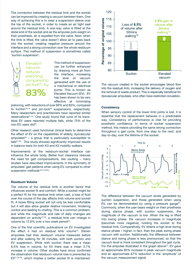The connection between the residual limb and the socket can be improved by creating a vacuum between them. One way of achieving this is to wear a suspension sleeve over the top of the socket, in order to create an air tight seal around the residual limb. A one-way valve is fitted at the distal end of the socket and as the amputee puts weight on their prosthesis, air is expelled from the valve. Next, when the limb is lifted, the valve doesn't allow air to pass back into the socket, creating negative pressure around the interface and a strong connection over the whole residuum surface. This method of suspension is sometimes called 'suction suspension'.



This method of suspension can be further enhanced by drawing more air from the interface, increasing the level of vacuum generated with the use of a mechanical or electrical pump. This is known as Elevated Vacuum (EV). EV has been shown to be very effective at minimising

pistoning, with reductions of over 69% and 83%, compared to suction<sup>18,19</sup> and pin-lock<sup>20</sup> suspensions, respectively. Many researchers and practitioners have reported similar observations<sup>21-24</sup>. One study found that none of its transtibial EV users reported multiple falls, while 75% of the non-EV users did<sup>25</sup>.

Other research used functional clinical tests to determine the effect of EV on the capabilities of elderly, dysvascular amputees<sup>26</sup> – a group that is particularly susceptible to  $falls<sup>27,28</sup>$ . This study showed significantly improved results in balance tests for both K3 and K2 mobility walkers.

Improvements at the residuum-socket interface can influence the whole body. Better foot clearance reduces the need for gait compensations, like vaulting – many studies have described improvements in the symmetry of amputees' gait patterns when using EV, compared to other suspension methods<sup>19,21,29,30</sup>.

#### **Residuum Volume**

The volume of the residual limb is another factor that influences socket fit and comfort. While a socket might be a perfect fit for the residual limb when cast, a loss of fluid over the course of the day affects limb volume and socket fit. A loose fitting socket will not only be less comfortable but it will also allow greater relative movement, hindering control and leading to chafing. This is a common problem; and while the magnitude and rate of daily changes are dependent on activity $31,32$ , a residual limb can change in volume by 12.6% over a two week period<sup>33</sup>.

One of the first scientific publications on EV investigated the effect it had on residual limb volume19. Eleven amputees had their residuum volume measured before and after walking for 30 minutes, with both suction and EV suspension. While with suction there was a mean 6.5% loss in volume, for EV there was a mean 3.7% increase in volume. Other studies have since confirmed the observation that residuum volume loss is prevented by EV21,34–36, which implies a better socket fit is maintained.



The vacuum created in the socket encourages blood flow into the residual limb, increasing the delivery of oxygen and the removal of waste product. This is especially beneficial for dysvascular amputees, who often have restricted circulation.

#### **Consistency**

When sensory control of the lower limb joints is lost, it is essential that the replacement behaves in a predictable way. Consistency of performance is vital for providing prosthetic confidence. In terms of socket suspension method, this means providing the same strong connection throughout a gait cycle, from one step to the next, and day-to-day, over the lifetime of the socket.



The difference between the vacuum levels generated by suction suspension, and those generated when using EV, can be demonstrated by using a pressure gauge<sup>37</sup>. Commonly, when the user bears weight on their prosthesis during stance phase, with suction suspension, the magnitude of the vacuum is low. When the leg is lifted into swing phase, the vacuum increases in magnitude (becomes more negative), holding the socket to the residual limb. Comparatively, EV retains a high level during stance phase – higher, in fact, than the peak swing phase vacuum with suction. Additionally, the difference between stance and swing phase is less pronounced, so that the vacuum level is more consistent throughout the gait cycle. For the amputee illustrated in the graph above $37$ , EV gave an approximate 85% increase in peak vacuum magnitude and an approximate 67% reduction in the 'amplitude' of the vacuum measurement signal.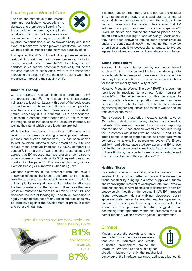### Loading and Wound Care

The skin and soft tissue of the residual limb are particularly susceptible to damage and breakdown. Scarring from the amputation surgery may complicate prosthetic fitting with adhesions or areas of invagination. Tissue may be further affected



by other comorbidities, such as dysvascularity and in the event of breakdown, which prevents prosthetic use, there will be a serious impact on the individual's quality of life.

It is reported that 41% of lower limb amputees experience residual limb skin and soft tissue problems, including ulcers, wounds and dermatitis<sup>38,39</sup>. Resolving socket comfort issues has the potential to drastically reduce the required number of clinic visits, while at the same time increasing the amount of time the user is able to wear their prosthesis, improving their quality of life.

#### **Unnatural Loading**

Of the reported residual limb skin problems, 25% are pressure ulcers<sup>38</sup>. The residual limb is particularly vulnerable to loading. Naturally, this part of the body would not be loaded in this way. Additionally, post-amputation, scar tissue is susceptible to damage due to its inelastic nature, especially if it is adherent. As a consequence, successful prosthetic rehabilitation should aim to reduce the magnitude of the loads at the residuum interface, as well as the rate at which these loads are applied.

While studies have found no significant difference in the peak positive pressure during stance phase between pin-lock and suction suspension<sup>40</sup>, EV has been shown to reduce mean interfacial peak pressures by 4% and reduce mean pressure impulses by 7.5%, compared to suction<sup>41</sup>. In a survey of world-leading prosthetists, 71% agreed that EV reduced interface pressure, compared to other suspension methods, while 91% agreed it improved comfort for the patient<sup>21</sup>. This may explain why Socket Comfort Score (SCS) improves when using EV<sup>42</sup>.

Changes elsewhere in the prosthetic limb can have a knock-on effect to the forces transferred to the residual limb. For example, the viscoelastic movement of hydraulic ankles, plantarflexing at heel strike, helps to attenuate the load transferred to the residuum. It reduces the peak pressure transferred to the residual limb by up to 81% and decrease the rate of loading by up to 87%, compared to rigidly attached prosthetic feet<sup>43</sup>. These reduced loads may be protective against the development of pressure ulcers and other skin damage.

> Hydraulic ankles reduce peak residuum pressures by up to



81% and loading rates by up to 87%<sup>43</sup>

It is important to remember that it is not just the residual limb, but the whole body that is subjected to unnatural loads. Gait compensations will affect the residual knee contact forces also, but research has shown that EV reduces this impact, compared to suction suspension<sup>44</sup>. Hydraulic ankles also reduce the demand placed on the sound limb while walking<sup>45,46</sup> and standing<sup>47</sup>. Additionally, they have been shown to reduce peak plantar-pressure under the contralateral foot<sup>48</sup> – something that may be of particular benefit to dysvascular amputees to protect against foot ulcers and a second contralateral amputation.

#### **Wound Management**

Residual limb health issues are by no means limited to ulcers<sup>38</sup>. Skin irritation and blisters can develop into wounds, which become painful, are susceptible to infection and may limit prosthetic use. This has severe implications for the user's mobility and quality of life<sup>49</sup>.

Negative Pressure Wound Therapy (NPWT) is a common technique in medicine to promote faster healing of wounds<sup>50,51</sup>. The effectiveness of this technique to heal wounds following amputation surgery has been demonstrated<sup>52</sup>. Patients treated with NPWT have shown significantly higher frequencies and rates of wound healing than control subjects<sup>52</sup>.

The evidence in prosthetics literature points towards EV having a similar effect. Many studies have looked at patients with existing residual limb wounds, reporting that the use of EV has allowed wearers to continue using their prosthesis whilst their wound healed<sup>53,54</sup> and, as an added bonus, wounds tended to heal at a faster rate when compared to alternative suspension systems<sup>55</sup>. Expert opinion<sup>21</sup> and clinical case studies<sup>56</sup> agree that EV is less painful than other suspension methods. As a consequence of these findings, many patients are more comfortable and more satisfied wearing their prosthesis<sup>57,58</sup>.

#### **Healthier Tissue**

By creating a vacuum around it, blood is drawn into the residual limb, providing better circulation. This makes the tissue healthier by bringing in a better supply of nutrients and improving the removal of waste products. Non-invasive probing techniques have been used to demonstrate how EV preserves skin health on the residual limb<sup>59</sup>. EV improved tissue oxygenation during walking, decreased transepidermal water loss and attenuated reactive hyperaemia, compared to other prosthetic suspension methods. The researchers who performed the study suggested that decreasing trans-epidermal water loss preserves the skin barrier function, which protects against ulcer formation.

### Climate

Modern prosthetic sockets and liners are made from impermeable materials that act as insulators and create a hostile environment around the residuum. Temperature and humidity can directly influence not only the mechanical



behaviour of the interface (e.g. sweat acting as a lubricant),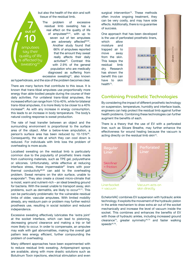but also the health of the skin and soft tissue of the residual limb.

The problem of excessive residual limb sweating has a real effect on the quality of life of amputees $60,61$ , with up to seven out of ten amputees are adversely affected<sup>60,62</sup>. Another study found that 66% of amputees reported that the amount they sweat really affects their daily activities<sup>63</sup>. Contrast this with 2.9% of the general population who are medically diagnosed as suffering from excessive sweating<sup>64</sup>, also known

as hyperhidrosis, and the size of the problem becomes clear.

amputees say their quality of life is affected by sweating<sup>60</sup>

10

7

out of

There are many factors that contribute to this issue. It is known that trans-tibial amputees use proportionally more energy than able-bodied people during the course of their daily activities. For unilateral trans-tibial amputees, the increased effort can range from 10 to 40%, while for bilateral trans-tibial amputees, it is more likely to be closer to a 40% increase<sup>65</sup>. As with any increase in energy consumption, this leads to an increase in body temperature. The body's natural cooling response is sweat production.

The rate of heat transfer between an object and the surrounding environment is proportional to the surface area of the object. After a below-knee amputation, a person's surface area has been reduced by 10-15%<sup>66</sup>. Consequently, the rate at which they can cool down is reduced. For individuals with limb loss the problem of overheating is more acute.

Localised sweating on the residual limb is particularly common due to the popularity of prosthetic liners made from cushioning materials, such as TPE gel, polyurethane or silicones. Unfortunately, while effective at reducing interface stress, these impermeable<sup>67</sup> liners with poor thermal conductivity $68,69$  can add to the overheating problem. Sweat remains on the skin surface, unable to evaporate<sup>70</sup>. They also create a closed micro-climate that is moist, warm and nutrient-rich – an ideal breeding ground for bacteria. With the sweat unable to transport away, skin problems, such as dermatitis, are likely to occur<sup>70,71</sup>. This can be particularly problematic for the vulnerable residual limbs of older, vascular amputees. With limited mobility already, any residuum pain or problem may further restrict prosthesis use, resulting in social isolation and reduced independence.

Excessive sweating effectively lubricates the 'extra joint' at the socket interface, which can lead to pistoning, decreasing ground clearance and making a trip or fall more likely to occur. In order to compensate, an amputee may walk with gait abnormalities, making the overall gait pattern less energy efficient, further compounding the problem of overheating.

Many different approaches have been experimented with to reduce residual limb sweating. Antiperspirant sprays are available, along with more drastic solutions such as Botulinum Toxin injections, electrical stimulation and even surgical intervention $72$ . These methods often involve ongoing treatment, they can be very costly, and may have side effects. Additionally, there is no guarantee of success.

One approach that has been developed is the use of perforated prosthetic liners,<br>which allow which

moisture and trapped air to move away from the skin. This keeps the residual limb dry. Research has shown the benefit this can have to skin health<sup>73</sup>.



### Combining Prosthetic Technologies

By considering the impact of different prosthetic technology on suspension, temperature, humidity and interface loads, engineers can help protect the residual limb against further health problems. Combining these technologies can further augment the benefits of each.

There is a theory that the use of EV with a perforated liner, such as Silcare Breathe, may further enhance the effectiveness for wound healing because the vacuum is acting directly on the residual limb skin<sup>73</sup>.



Liner/socket = vacuum

Vacuum acts on skin directly

EchelonVAC combines EV suspension with hydraulic ankle technology. It exploits the movement of the hydraulic piston in the ankle mechanism to draw extra air out of the socket mechanically and increase the level of vacuum inside the socket. This combines and enhances the benefits of EV with those of hydraulic ankles, including increased ground clearance<sup>74</sup>, greater symmetry<sup>45,75</sup> and faster walking speeds $45,76$ .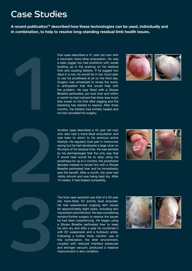# Case Studies

1

**A recent publication73 described how these technologies can be used, individually and in combination, to help to resolve long-standing residual limb health issues.**

> One case described a 41 year old man with a traumatic trans-tibial amputation. He was a keen jogger but had problems with sweat building up in the scarring on his residual limb and causing blisters. If he jogged two days in a row, he would be in too much pain to use his prosthesis at all on the third day. Surgery was scheduled to revise the scars, in anticipation that this would help with the problem. He was fitted with a Silcare Breathe perforated, pin-lock liner and within a month he had noticed that there was much less sweat on his limb after jogging and the blistering has started to resolve. After three months, the blisters had entirely healed and he had cancelled his surgery.



Another case described a 45 year old man who also had a trans-tibial amputation and was keen to return to his previous active lifestyle. He regularly took part in motocross racing but he had developed a large ulcer on the back of his residual limb. He was advised by his dermatologist that the only way that it would heal would be to stop using his prosthesis for up to 5 months. His prosthetist decided instead to recast him with a Silcare Breathe perforated liner and he immediately saw the benefit. After a month, the ulcer had visibly shrunk and was being kept dry. After 13 weeks, it had healed completely.





The final case reported was that of a 50 year old, trans-tibial, K2 activity level amputee. He had experienced ongoing skin issues for approximately eight years, including skin maceration and infection. He was considering revision/further surgery to resolve the issues he had been experiencing. He began using a Silcare Breathe perforated liner to keep his skin dry and after a year he combined it with EV suspension and a hydraulic ankle. Following a further three months' use of this combination, the drier environment, coupled with reduced interface pressures and stronger vacuum, produced a massive improvement in skin condition.



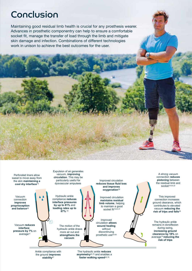# Conclusion

Maintaining good residual limb health is crucial for any prosthesis wearer. Advances in prosthetic componentry can help to ensure a comfortable socket fit, manage the transfer of load through the limb and mitigate skin damage and infection. Combinations of different technologies work in unison to achieve the best outcomes for the user.

The motion of the hydraulic ankle draws more air out and **strengthens the vacuum** Perforated liners allow sweat to move away from the skin **maintaining a cool dry interface**<sup>73</sup> Vacuum connection **improves proprioception and balance**<sup>26</sup> Vacuum **reduces interface pressure by 7%** on average41 Hydraulic ankle compliance **reduces interface pressures by up to 81%** and **loading rates up to 87%** <sup>43</sup> Ankle compliance with Expulsion of air generates vacuum, **improving circulation**. This may be particularly useful for dysvascular amputees Improved circulation **reduces tissue fluid loss and improves oxygenation**<sup>59</sup> Improved circulation **maintains residual limb volume**, helping to maintain a good socket fit<sup>19,20,31</sup> Improved circulation **allows wound healing** without discontinuing prosthetic use<sup>53-55</sup> A strong vacuum connection **reduces pistoning** between the residual limb and socket18-20,22 This improved connection increases ground clearance, which contributes to elevated vacuum **reducing the risk of trips and falls**<sup>25</sup> The hydraulic ankle remains in dorsiflexion during swing, **increasing ground clearance by 18%** on average74 **reducing the risk of trips** The hydraulic ankle **reduces**

the ground **improves stability**<sup>47</sup>

**asymmetry**45,75 and enables a **faster walking speed**45,76